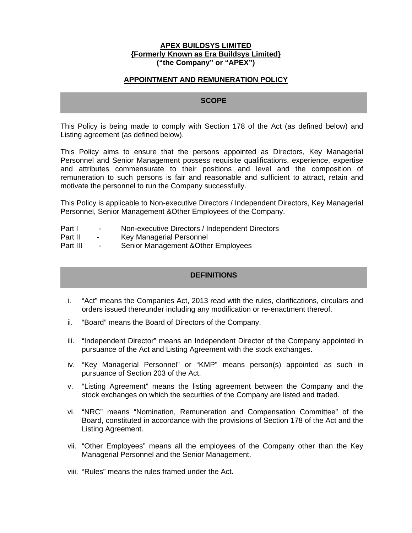#### **APEX BUILDSYS LIMITED {Formerly Known as Era Buildsys Limited} ("the Company" or "APEX")**

### **APPOINTMENT AND REMUNERATION POLICY**

## **SCOPE**

This Policy is being made to comply with Section 178 of the Act (as defined below) and Listing agreement (as defined below).

This Policy aims to ensure that the persons appointed as Directors, Key Managerial Personnel and Senior Management possess requisite qualifications, experience, expertise and attributes commensurate to their positions and level and the composition of remuneration to such persons is fair and reasonable and sufficient to attract, retain and motivate the personnel to run the Company successfully.

This Policy is applicable to Non-executive Directors / Independent Directors, Key Managerial Personnel, Senior Management &Other Employees of the Company.

- Part I Non-executive Directors / Independent Directors
- Part II Key Managerial Personnel
- Part III Senior Management & Other Employees

### **DEFINITIONS**

- i. "Act" means the Companies Act, 2013 read with the rules, clarifications, circulars and orders issued thereunder including any modification or re-enactment thereof.
- ii. "Board" means the Board of Directors of the Company.
- iii. "Independent Director" means an Independent Director of the Company appointed in pursuance of the Act and Listing Agreement with the stock exchanges.
- iv. "Key Managerial Personnel" or "KMP" means person(s) appointed as such in pursuance of Section 203 of the Act.
- v. "Listing Agreement" means the listing agreement between the Company and the stock exchanges on which the securities of the Company are listed and traded.
- vi. "NRC" means "Nomination, Remuneration and Compensation Committee" of the Board, constituted in accordance with the provisions of Section 178 of the Act and the Listing Agreement.
- vii. "Other Employees" means all the employees of the Company other than the Key Managerial Personnel and the Senior Management.
- viii. "Rules" means the rules framed under the Act.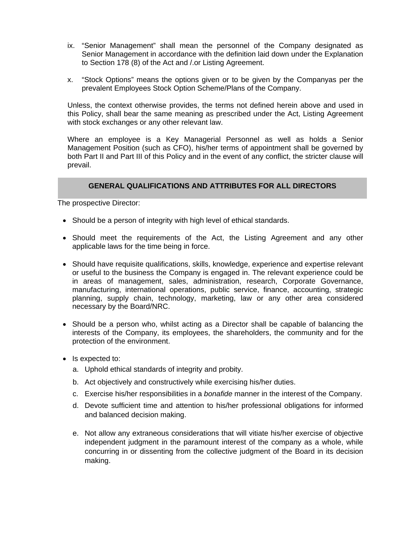- ix. "Senior Management" shall mean the personnel of the Company designated as Senior Management in accordance with the definition laid down under the Explanation to Section 178 (8) of the Act and /.or Listing Agreement.
- x. "Stock Options" means the options given or to be given by the Companyas per the prevalent Employees Stock Option Scheme/Plans of the Company.

Unless, the context otherwise provides, the terms not defined herein above and used in this Policy, shall bear the same meaning as prescribed under the Act, Listing Agreement with stock exchanges or any other relevant law.

Where an employee is a Key Managerial Personnel as well as holds a Senior Management Position (such as CFO), his/her terms of appointment shall be governed by both Part II and Part III of this Policy and in the event of any conflict, the stricter clause will prevail.

### **GENERAL QUALIFICATIONS AND ATTRIBUTES FOR ALL DIRECTORS**

The prospective Director:

- Should be a person of integrity with high level of ethical standards.
- Should meet the requirements of the Act, the Listing Agreement and any other applicable laws for the time being in force.
- Should have requisite qualifications, skills, knowledge, experience and expertise relevant or useful to the business the Company is engaged in. The relevant experience could be in areas of management, sales, administration, research, Corporate Governance, manufacturing, international operations, public service, finance, accounting, strategic planning, supply chain, technology, marketing, law or any other area considered necessary by the Board/NRC.
- Should be a person who, whilst acting as a Director shall be capable of balancing the interests of the Company, its employees, the shareholders, the community and for the protection of the environment.
- Is expected to:
	- a. Uphold ethical standards of integrity and probity.
	- b. Act objectively and constructively while exercising his/her duties.
	- c. Exercise his/her responsibilities in a *bonafide* manner in the interest of the Company.
	- d. Devote sufficient time and attention to his/her professional obligations for informed and balanced decision making.
	- e. Not allow any extraneous considerations that will vitiate his/her exercise of objective independent judgment in the paramount interest of the company as a whole, while concurring in or dissenting from the collective judgment of the Board in its decision making.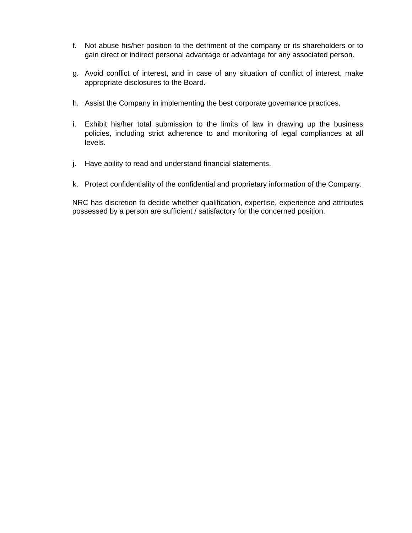- f. Not abuse his/her position to the detriment of the company or its shareholders or to gain direct or indirect personal advantage or advantage for any associated person.
- g. Avoid conflict of interest, and in case of any situation of conflict of interest, make appropriate disclosures to the Board.
- h. Assist the Company in implementing the best corporate governance practices.
- i. Exhibit his/her total submission to the limits of law in drawing up the business policies, including strict adherence to and monitoring of legal compliances at all levels.
- j. Have ability to read and understand financial statements.
- k. Protect confidentiality of the confidential and proprietary information of the Company.

 NRC has discretion to decide whether qualification, expertise, experience and attributes possessed by a person are sufficient / satisfactory for the concerned position.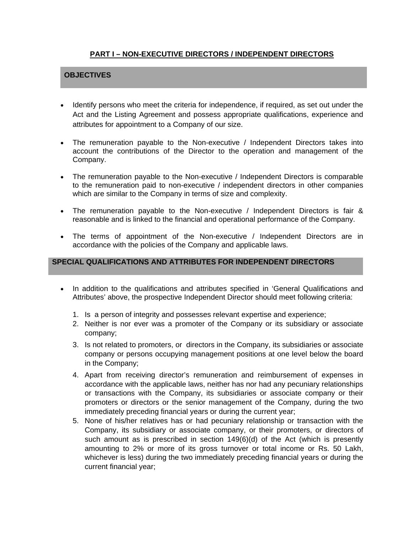# **PART I – NON-EXECUTIVE DIRECTORS / INDEPENDENT DIRECTORS**

# **OBJECTIVES**

- Identify persons who meet the criteria for independence, if required, as set out under the Act and the Listing Agreement and possess appropriate qualifications, experience and attributes for appointment to a Company of our size.
- The remuneration payable to the Non-executive / Independent Directors takes into account the contributions of the Director to the operation and management of the Company.
- The remuneration payable to the Non-executive / Independent Directors is comparable to the remuneration paid to non-executive / independent directors in other companies which are similar to the Company in terms of size and complexity.
- The remuneration payable to the Non-executive / Independent Directors is fair & reasonable and is linked to the financial and operational performance of the Company.
- The terms of appointment of the Non-executive / Independent Directors are in accordance with the policies of the Company and applicable laws.

### **SPECIAL QUALIFICATIONS AND ATTRIBUTES FOR INDEPENDENT DIRECTORS**

- In addition to the qualifications and attributes specified in 'General Qualifications and Attributes' above, the prospective Independent Director should meet following criteria:
	- 1. Is a person of integrity and possesses relevant expertise and experience;
	- 2. Neither is nor ever was a promoter of the Company or its subsidiary or associate company;
	- 3. Is not related to promoters, or directors in the Company, its subsidiaries or associate company or persons occupying management positions at one level below the board in the Company;
	- 4. Apart from receiving director's remuneration and reimbursement of expenses in accordance with the applicable laws, neither has nor had any pecuniary relationships or transactions with the Company, its subsidiaries or associate company or their promoters or directors or the senior management of the Company, during the two immediately preceding financial years or during the current year;
	- 5. None of his/her relatives has or had pecuniary relationship or transaction with the Company, its subsidiary or associate company, or their promoters, or directors of such amount as is prescribed in section 149(6)(d) of the Act (which is presently amounting to 2% or more of its gross turnover or total income or Rs. 50 Lakh, whichever is less) during the two immediately preceding financial years or during the current financial year;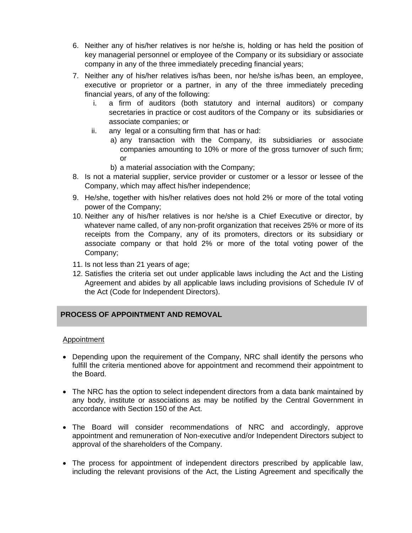- 6. Neither any of his/her relatives is nor he/she is, holding or has held the position of key managerial personnel or employee of the Company or its subsidiary or associate company in any of the three immediately preceding financial years;
- 7. Neither any of his/her relatives is/has been, nor he/she is/has been, an employee, executive or proprietor or a partner, in any of the three immediately preceding financial years, of any of the following:
	- i. a firm of auditors (both statutory and internal auditors) or company secretaries in practice or cost auditors of the Company or its subsidiaries or associate companies; or
	- ii. any legal or a consulting firm that has or had:
		- a) any transaction with the Company, its subsidiaries or associate companies amounting to 10% or more of the gross turnover of such firm; or
		- b) a material association with the Company;
- 8. Is not a material supplier, service provider or customer or a lessor or lessee of the Company, which may affect his/her independence;
- 9. He/she, together with his/her relatives does not hold 2% or more of the total voting power of the Company;
- 10. Neither any of his/her relatives is nor he/she is a Chief Executive or director, by whatever name called, of any non-profit organization that receives 25% or more of its receipts from the Company, any of its promoters, directors or its subsidiary or associate company or that hold 2% or more of the total voting power of the Company;
- 11. Is not less than 21 years of age;
- 12. Satisfies the criteria set out under applicable laws including the Act and the Listing Agreement and abides by all applicable laws including provisions of Schedule IV of the Act (Code for Independent Directors).

# **PROCESS OF APPOINTMENT AND REMOVAL**

## **Appointment**

- Depending upon the requirement of the Company, NRC shall identify the persons who fulfill the criteria mentioned above for appointment and recommend their appointment to the Board.
- The NRC has the option to select independent directors from a data bank maintained by any body, institute or associations as may be notified by the Central Government in accordance with Section 150 of the Act.
- The Board will consider recommendations of NRC and accordingly, approve appointment and remuneration of Non-executive and/or Independent Directors subject to approval of the shareholders of the Company.
- The process for appointment of independent directors prescribed by applicable law, including the relevant provisions of the Act, the Listing Agreement and specifically the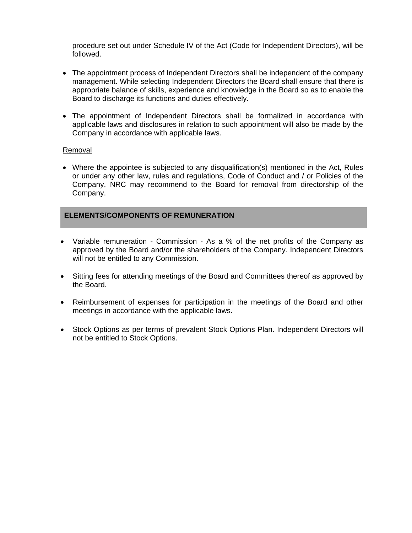procedure set out under Schedule IV of the Act (Code for Independent Directors), will be followed.

- The appointment process of Independent Directors shall be independent of the company management. While selecting Independent Directors the Board shall ensure that there is appropriate balance of skills, experience and knowledge in the Board so as to enable the Board to discharge its functions and duties effectively.
- The appointment of Independent Directors shall be formalized in accordance with applicable laws and disclosures in relation to such appointment will also be made by the Company in accordance with applicable laws.

### Removal

 Where the appointee is subjected to any disqualification(s) mentioned in the Act, Rules or under any other law, rules and regulations, Code of Conduct and / or Policies of the Company, NRC may recommend to the Board for removal from directorship of the Company.

### **ELEMENTS/COMPONENTS OF REMUNERATION**

- Variable remuneration Commission As a % of the net profits of the Company as approved by the Board and/or the shareholders of the Company. Independent Directors will not be entitled to any Commission.
- Sitting fees for attending meetings of the Board and Committees thereof as approved by the Board.
- Reimbursement of expenses for participation in the meetings of the Board and other meetings in accordance with the applicable laws.
- Stock Options as per terms of prevalent Stock Options Plan. Independent Directors will not be entitled to Stock Options.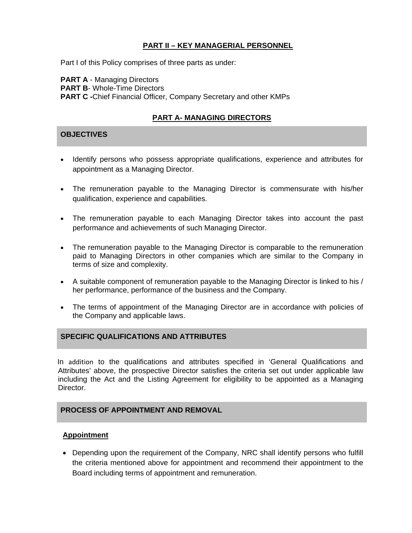## **PART II – KEY MANAGERIAL PERSONNEL**

Part I of this Policy comprises of three parts as under:

**PART A - Managing Directors PART B- Whole-Time Directors PART C -**Chief Financial Officer, Company Secretary and other KMPs

# **PART A- MANAGING DIRECTORS**

## **OBJECTIVES**

- Identify persons who possess appropriate qualifications, experience and attributes for appointment as a Managing Director.
- The remuneration payable to the Managing Director is commensurate with his/her qualification, experience and capabilities.
- The remuneration payable to each Managing Director takes into account the past performance and achievements of such Managing Director.
- The remuneration payable to the Managing Director is comparable to the remuneration paid to Managing Directors in other companies which are similar to the Company in terms of size and complexity.
- A suitable component of remuneration payable to the Managing Director is linked to his / her performance, performance of the business and the Company.
- The terms of appointment of the Managing Director are in accordance with policies of the Company and applicable laws.

## **SPECIFIC QUALIFICATIONS AND ATTRIBUTES**

In addition to the qualifications and attributes specified in 'General Qualifications and Attributes' above, the prospective Director satisfies the criteria set out under applicable law including the Act and the Listing Agreement for eligibility to be appointed as a Managing Director.

## **PROCESS OF APPOINTMENT AND REMOVAL**

### **Appointment**

• Depending upon the requirement of the Company, NRC shall identify persons who fulfill the criteria mentioned above for appointment and recommend their appointment to the Board including terms of appointment and remuneration.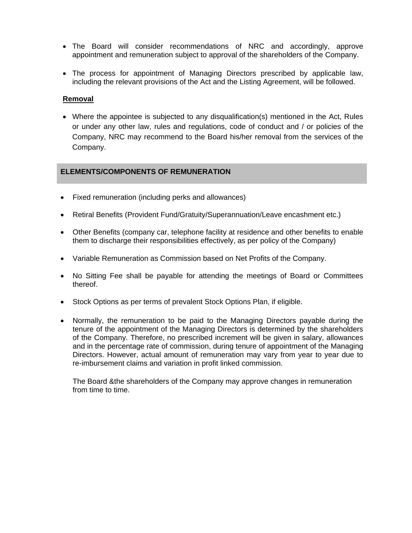- The Board will consider recommendations of NRC and accordingly, approve appointment and remuneration subject to approval of the shareholders of the Company.
- The process for appointment of Managing Directors prescribed by applicable law, including the relevant provisions of the Act and the Listing Agreement, will be followed.

## **Removal**

 Where the appointee is subjected to any disqualification(s) mentioned in the Act, Rules or under any other law, rules and regulations, code of conduct and / or policies of the Company, NRC may recommend to the Board his/her removal from the services of the Company.

### **ELEMENTS/COMPONENTS OF REMUNERATION**

- Fixed remuneration (including perks and allowances)
- Retiral Benefits (Provident Fund/Gratuity/Superannuation/Leave encashment etc.)
- Other Benefits (company car, telephone facility at residence and other benefits to enable them to discharge their responsibilities effectively, as per policy of the Company)
- Variable Remuneration as Commission based on Net Profits of the Company.
- No Sitting Fee shall be payable for attending the meetings of Board or Committees thereof.
- Stock Options as per terms of prevalent Stock Options Plan, if eligible.
- Normally, the remuneration to be paid to the Managing Directors payable during the tenure of the appointment of the Managing Directors is determined by the shareholders of the Company. Therefore, no prescribed increment will be given in salary, allowances and in the percentage rate of commission, during tenure of appointment of the Managing Directors. However, actual amount of remuneration may vary from year to year due to re-imbursement claims and variation in profit linked commission.

The Board &the shareholders of the Company may approve changes in remuneration from time to time.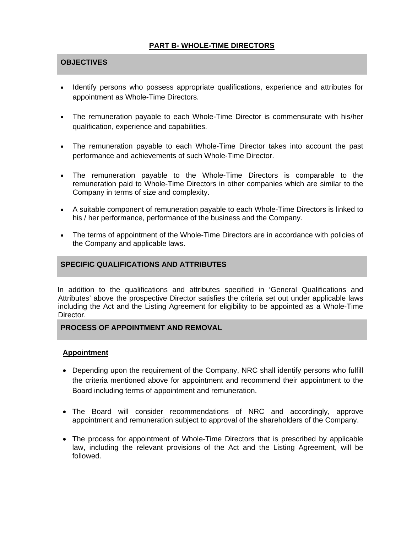# **PART B- WHOLE-TIME DIRECTORS**

## **OBJECTIVES**

- Identify persons who possess appropriate qualifications, experience and attributes for appointment as Whole-Time Directors.
- The remuneration payable to each Whole-Time Director is commensurate with his/her qualification, experience and capabilities.
- The remuneration payable to each Whole-Time Director takes into account the past performance and achievements of such Whole-Time Director.
- The remuneration payable to the Whole-Time Directors is comparable to the remuneration paid to Whole-Time Directors in other companies which are similar to the Company in terms of size and complexity.
- A suitable component of remuneration payable to each Whole-Time Directors is linked to his / her performance, performance of the business and the Company.
- The terms of appointment of the Whole-Time Directors are in accordance with policies of the Company and applicable laws.

### **SPECIFIC QUALIFICATIONS AND ATTRIBUTES**

In addition to the qualifications and attributes specified in 'General Qualifications and Attributes' above the prospective Director satisfies the criteria set out under applicable laws including the Act and the Listing Agreement for eligibility to be appointed as a Whole-Time Director.

### **PROCESS OF APPOINTMENT AND REMOVAL**

#### **Appointment**

- Depending upon the requirement of the Company, NRC shall identify persons who fulfill the criteria mentioned above for appointment and recommend their appointment to the Board including terms of appointment and remuneration.
- The Board will consider recommendations of NRC and accordingly, approve appointment and remuneration subject to approval of the shareholders of the Company.
- The process for appointment of Whole-Time Directors that is prescribed by applicable law, including the relevant provisions of the Act and the Listing Agreement, will be followed.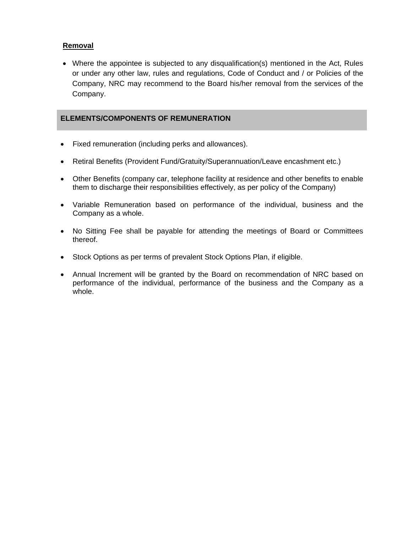# **Removal**

 Where the appointee is subjected to any disqualification(s) mentioned in the Act, Rules or under any other law, rules and regulations, Code of Conduct and / or Policies of the Company, NRC may recommend to the Board his/her removal from the services of the Company.

## **ELEMENTS/COMPONENTS OF REMUNERATION**

- Fixed remuneration (including perks and allowances).
- Retiral Benefits (Provident Fund/Gratuity/Superannuation/Leave encashment etc.)
- Other Benefits (company car, telephone facility at residence and other benefits to enable them to discharge their responsibilities effectively, as per policy of the Company)
- Variable Remuneration based on performance of the individual, business and the Company as a whole.
- No Sitting Fee shall be payable for attending the meetings of Board or Committees thereof.
- Stock Options as per terms of prevalent Stock Options Plan, if eligible.
- Annual Increment will be granted by the Board on recommendation of NRC based on performance of the individual, performance of the business and the Company as a whole.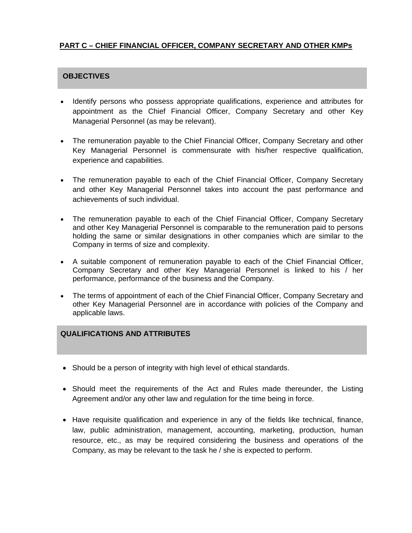# **PART C – CHIEF FINANCIAL OFFICER, COMPANY SECRETARY AND OTHER KMPs**

# **OBJECTIVES**

- Identify persons who possess appropriate qualifications, experience and attributes for appointment as the Chief Financial Officer, Company Secretary and other Key Managerial Personnel (as may be relevant).
- The remuneration payable to the Chief Financial Officer, Company Secretary and other Key Managerial Personnel is commensurate with his/her respective qualification, experience and capabilities.
- The remuneration payable to each of the Chief Financial Officer, Company Secretary and other Key Managerial Personnel takes into account the past performance and achievements of such individual.
- The remuneration payable to each of the Chief Financial Officer, Company Secretary and other Key Managerial Personnel is comparable to the remuneration paid to persons holding the same or similar designations in other companies which are similar to the Company in terms of size and complexity.
- A suitable component of remuneration payable to each of the Chief Financial Officer, Company Secretary and other Key Managerial Personnel is linked to his / her performance, performance of the business and the Company.
- The terms of appointment of each of the Chief Financial Officer, Company Secretary and other Key Managerial Personnel are in accordance with policies of the Company and applicable laws.

# **QUALIFICATIONS AND ATTRIBUTES**

- Should be a person of integrity with high level of ethical standards.
- Should meet the requirements of the Act and Rules made thereunder, the Listing Agreement and/or any other law and regulation for the time being in force.
- Have requisite qualification and experience in any of the fields like technical, finance, law, public administration, management, accounting, marketing, production, human resource, etc., as may be required considering the business and operations of the Company, as may be relevant to the task he / she is expected to perform.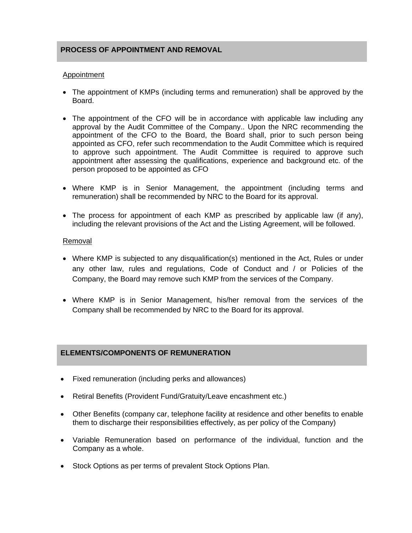## **PROCESS OF APPOINTMENT AND REMOVAL**

### Appointment

- The appointment of KMPs (including terms and remuneration) shall be approved by the Board.
- The appointment of the CFO will be in accordance with applicable law including any approval by the Audit Committee of the Company.. Upon the NRC recommending the appointment of the CFO to the Board, the Board shall, prior to such person being appointed as CFO, refer such recommendation to the Audit Committee which is required to approve such appointment. The Audit Committee is required to approve such appointment after assessing the qualifications, experience and background etc. of the person proposed to be appointed as CFO
- Where KMP is in Senior Management, the appointment (including terms and remuneration) shall be recommended by NRC to the Board for its approval.
- The process for appointment of each KMP as prescribed by applicable law (if any), including the relevant provisions of the Act and the Listing Agreement, will be followed.

### Removal

- Where KMP is subjected to any disqualification(s) mentioned in the Act, Rules or under any other law, rules and regulations, Code of Conduct and / or Policies of the Company, the Board may remove such KMP from the services of the Company.
- Where KMP is in Senior Management, his/her removal from the services of the Company shall be recommended by NRC to the Board for its approval.

## **ELEMENTS/COMPONENTS OF REMUNERATION**

- Fixed remuneration (including perks and allowances)
- Retiral Benefits (Provident Fund/Gratuity/Leave encashment etc.)
- Other Benefits (company car, telephone facility at residence and other benefits to enable them to discharge their responsibilities effectively, as per policy of the Company)
- Variable Remuneration based on performance of the individual, function and the Company as a whole.
- Stock Options as per terms of prevalent Stock Options Plan.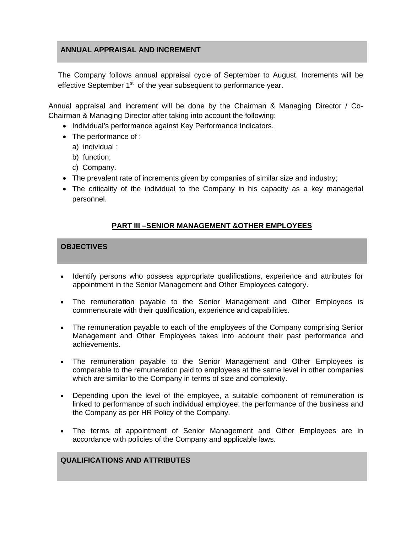## **ANNUAL APPRAISAL AND INCREMENT**

The Company follows annual appraisal cycle of September to August. Increments will be effective September  $1<sup>st</sup>$  of the year subsequent to performance year.

Annual appraisal and increment will be done by the Chairman & Managing Director / Co-Chairman & Managing Director after taking into account the following:

- Individual's performance against Key Performance Indicators.
- The performance of :
	- a) individual ;
	- b) function;
	- c) Company.
- The prevalent rate of increments given by companies of similar size and industry;
- The criticality of the individual to the Company in his capacity as a key managerial personnel.

# **PART III –SENIOR MANAGEMENT &OTHER EMPLOYEES**

### **OBJECTIVES**

- Identify persons who possess appropriate qualifications, experience and attributes for appointment in the Senior Management and Other Employees category.
- The remuneration payable to the Senior Management and Other Employees is commensurate with their qualification, experience and capabilities.
- The remuneration payable to each of the employees of the Company comprising Senior Management and Other Employees takes into account their past performance and achievements.
- The remuneration payable to the Senior Management and Other Employees is comparable to the remuneration paid to employees at the same level in other companies which are similar to the Company in terms of size and complexity.
- Depending upon the level of the employee, a suitable component of remuneration is linked to performance of such individual employee, the performance of the business and the Company as per HR Policy of the Company.
- The terms of appointment of Senior Management and Other Employees are in accordance with policies of the Company and applicable laws.

## **QUALIFICATIONS AND ATTRIBUTES**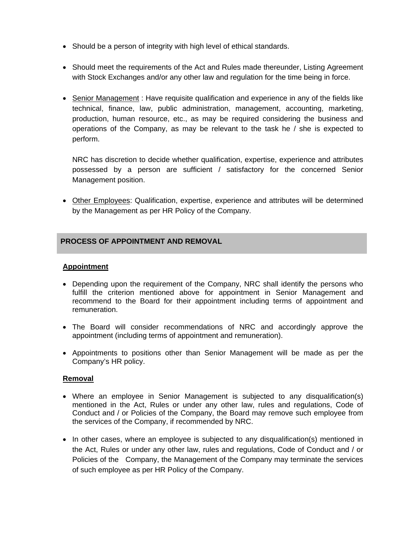- Should be a person of integrity with high level of ethical standards.
- Should meet the requirements of the Act and Rules made thereunder, Listing Agreement with Stock Exchanges and/or any other law and regulation for the time being in force.
- Senior Management : Have requisite qualification and experience in any of the fields like technical, finance, law, public administration, management, accounting, marketing, production, human resource, etc., as may be required considering the business and operations of the Company, as may be relevant to the task he / she is expected to perform.

NRC has discretion to decide whether qualification, expertise, experience and attributes possessed by a person are sufficient / satisfactory for the concerned Senior Management position.

 Other Employees: Qualification, expertise, experience and attributes will be determined by the Management as per HR Policy of the Company.

# **PROCESS OF APPOINTMENT AND REMOVAL**

## **Appointment**

- Depending upon the requirement of the Company, NRC shall identify the persons who fulfill the criterion mentioned above for appointment in Senior Management and recommend to the Board for their appointment including terms of appointment and remuneration.
- The Board will consider recommendations of NRC and accordingly approve the appointment (including terms of appointment and remuneration).
- Appointments to positions other than Senior Management will be made as per the Company's HR policy.

### **Removal**

- Where an employee in Senior Management is subjected to any disqualification(s) mentioned in the Act, Rules or under any other law, rules and regulations, Code of Conduct and / or Policies of the Company, the Board may remove such employee from the services of the Company, if recommended by NRC.
- In other cases, where an employee is subjected to any disqualification(s) mentioned in the Act, Rules or under any other law, rules and regulations, Code of Conduct and / or Policies of the Company, the Management of the Company may terminate the services of such employee as per HR Policy of the Company.